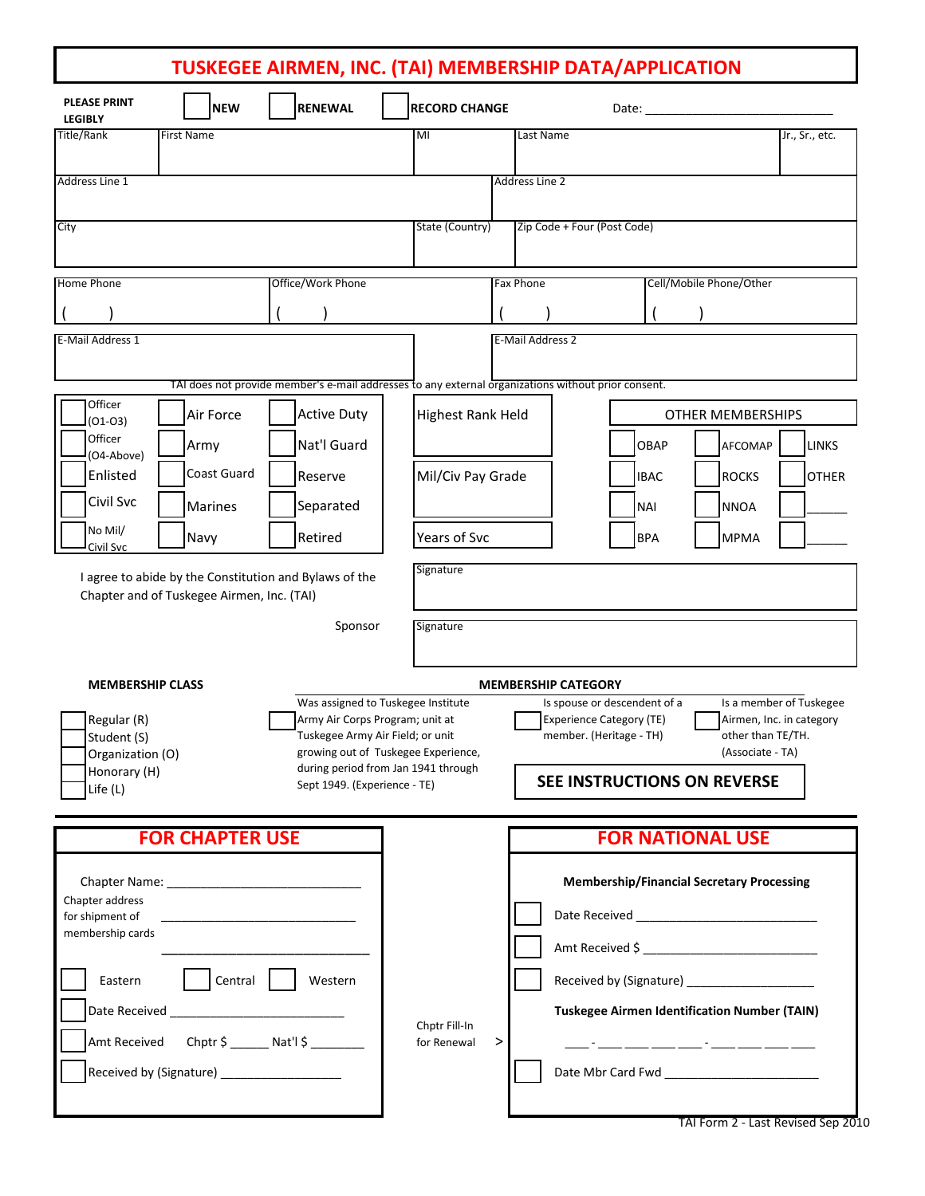# **TUSKEGEE AIRMEN, INC. (TAI) MEMBERSHIP DATA/APPLICATION**

| <b>PLEASE PRINT</b><br><b>NEW</b><br><b>LEGIBLY</b>                               | <b>RENEWAL</b>                                                                                                                                                                                                          | <b>RECORD CHANGE</b>         |                                                      |                                                                                                                                                                                                             |                                                                                              |
|-----------------------------------------------------------------------------------|-------------------------------------------------------------------------------------------------------------------------------------------------------------------------------------------------------------------------|------------------------------|------------------------------------------------------|-------------------------------------------------------------------------------------------------------------------------------------------------------------------------------------------------------------|----------------------------------------------------------------------------------------------|
| <b>Title/Rank</b><br><b>First Name</b>                                            |                                                                                                                                                                                                                         | MI                           | Last Name                                            |                                                                                                                                                                                                             | Jr., Sr., etc.                                                                               |
|                                                                                   |                                                                                                                                                                                                                         |                              |                                                      |                                                                                                                                                                                                             |                                                                                              |
| Address Line 1                                                                    |                                                                                                                                                                                                                         |                              | Address Line 2                                       |                                                                                                                                                                                                             |                                                                                              |
| City                                                                              |                                                                                                                                                                                                                         | State (Country)              | Zip Code + Four (Post Code)                          |                                                                                                                                                                                                             |                                                                                              |
|                                                                                   |                                                                                                                                                                                                                         |                              |                                                      |                                                                                                                                                                                                             |                                                                                              |
| <b>Home Phone</b>                                                                 | Office/Work Phone                                                                                                                                                                                                       |                              | <b>Fax Phone</b>                                     | Cell/Mobile Phone/Other                                                                                                                                                                                     |                                                                                              |
|                                                                                   |                                                                                                                                                                                                                         |                              |                                                      |                                                                                                                                                                                                             |                                                                                              |
| E-Mail Address 1                                                                  |                                                                                                                                                                                                                         |                              | E-Mail Address 2                                     |                                                                                                                                                                                                             |                                                                                              |
|                                                                                   |                                                                                                                                                                                                                         |                              |                                                      |                                                                                                                                                                                                             |                                                                                              |
|                                                                                   | TAI does not provide member's e-mail addresses to any external organizations without prior consent.                                                                                                                     |                              |                                                      |                                                                                                                                                                                                             |                                                                                              |
| Officer<br>Air Force<br>$(01-03)$                                                 | <b>Active Duty</b>                                                                                                                                                                                                      |                              | <b>Highest Rank Held</b><br><b>OTHER MEMBERSHIPS</b> |                                                                                                                                                                                                             |                                                                                              |
| Officer<br>Army<br>(O4-Above)                                                     | Nat'l Guard                                                                                                                                                                                                             |                              |                                                      | OBAP                                                                                                                                                                                                        | AFCOMAP<br><b>LINKS</b>                                                                      |
| Coast Guard<br>Enlisted                                                           | Reserve                                                                                                                                                                                                                 | Mil/Civ Pay Grade            |                                                      | <b>IBAC</b>                                                                                                                                                                                                 | <b>ROCKS</b><br><b>OTHER</b>                                                                 |
| Civil Svc<br><b>Marines</b>                                                       | Separated                                                                                                                                                                                                               |                              |                                                      | <b>NAI</b>                                                                                                                                                                                                  | <b>NNOA</b>                                                                                  |
| No Mil/<br>Navy<br>Civil Svc                                                      | Retired                                                                                                                                                                                                                 | Years of Svc                 |                                                      | <b>BPA</b>                                                                                                                                                                                                  | <b>MPMA</b>                                                                                  |
| Chapter and of Tuskegee Airmen, Inc. (TAI)                                        | Sponsor                                                                                                                                                                                                                 | Signature                    |                                                      |                                                                                                                                                                                                             |                                                                                              |
| <b>MEMBERSHIP CLASS</b><br><b>MEMBERSHIP CATEGORY</b>                             |                                                                                                                                                                                                                         |                              |                                                      |                                                                                                                                                                                                             |                                                                                              |
| Regular (R)<br>Student (S)<br>Organization (O)<br>Honorary (H)<br>Life (L)        | Was assigned to Tuskegee Institute<br>Army Air Corps Program; unit at<br>Tuskegee Army Air Field; or unit<br>growing out of Tuskegee Experience,<br>during period from Jan 1941 through<br>Sept 1949. (Experience - TE) |                              |                                                      | Is spouse or descendent of a<br><b>Experience Category (TE)</b><br>member. (Heritage - TH)<br>SEE INSTRUCTIONS ON REVERSE                                                                                   | Is a member of Tuskegee<br>Airmen, Inc. in category<br>other than TE/TH.<br>(Associate - TA) |
| <b>FOR CHAPTER USE</b>                                                            |                                                                                                                                                                                                                         |                              | <b>FOR NATIONAL USE</b>                              |                                                                                                                                                                                                             |                                                                                              |
| Chapter address<br>for shipment of<br>membership cards<br>Eastern<br>Amt Received | Central  <br>Western<br>$Chptr$ \$ ________ Nat'l \$ _________                                                                                                                                                          | Chptr Fill-In<br>for Renewal | >                                                    | <b>Membership/Financial Secretary Processing</b><br>Received by (Signature) _____________________<br><b>Tuskegee Airmen Identification Number (TAIN)</b><br><u> 2007 - Jan Jan Jan Jan Sandar (b. 1988)</u> |                                                                                              |

TAI Form 2 - Last Revised Sep 2010